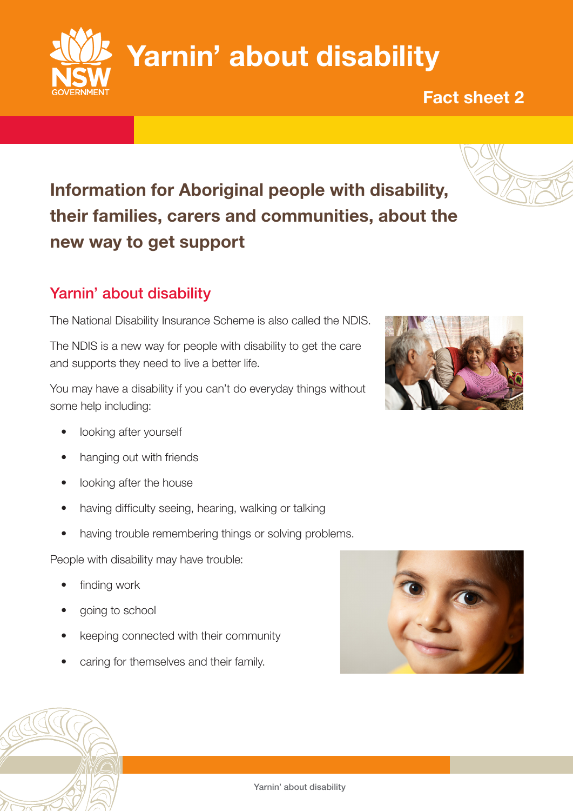Information for Aboriginal people with disability, their families, carers and communities, about the new way to get support

# Yarnin' about disability

The National Disability Insurance Scheme is also called the NDIS.

The NDIS is a new way for people with disability to get the care and supports they need to live a better life.

You may have a disability if you can't do everyday things without some help including:

- looking after yourself
- hanging out with friends
- looking after the house
- having difficulty seeing, hearing, walking or talking
- having trouble remembering things or solving problems.

People with disability may have trouble:

- finding work
- going to school
- keeping connected with their community
- caring for themselves and their family.







Fact sheet 2

Yarnin' about disability

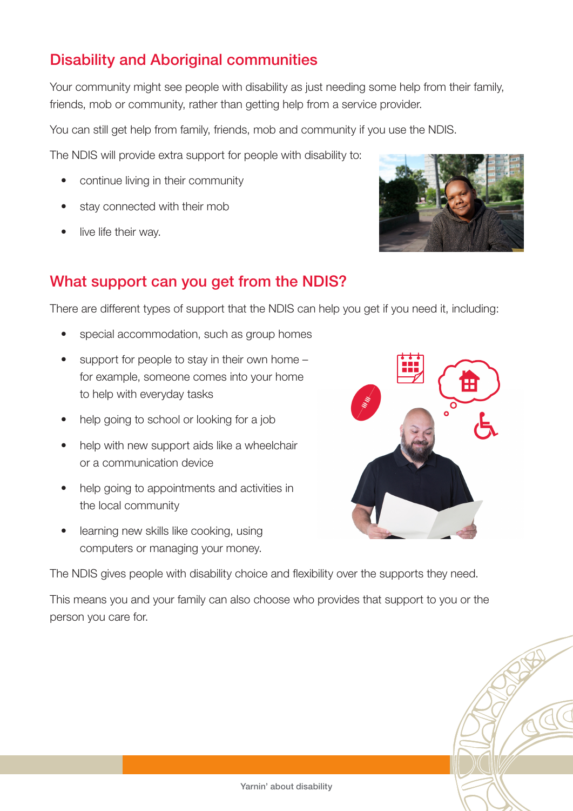## Disability and Aboriginal communities

Your community might see people with disability as just needing some help from their family, friends, mob or community, rather than getting help from a service provider.

You can still get help from family, friends, mob and community if you use the NDIS.

The NDIS will provide extra support for people with disability to:

- continue living in their community
- stay connected with their mob
- live life their way.



### What support can you get from the NDIS?

There are different types of support that the NDIS can help you get if you need it, including:

- special accommodation, such as group homes
- support for people to stay in their own home for example, someone comes into your home to help with everyday tasks
- help going to school or looking for a job
- help with new support aids like a wheelchair or a communication device
- help going to appointments and activities in the local community
- learning new skills like cooking, using computers or managing your money.



The NDIS gives people with disability choice and flexibility over the supports they need.

This means you and your family can also choose who provides that support to you or the person you care for.